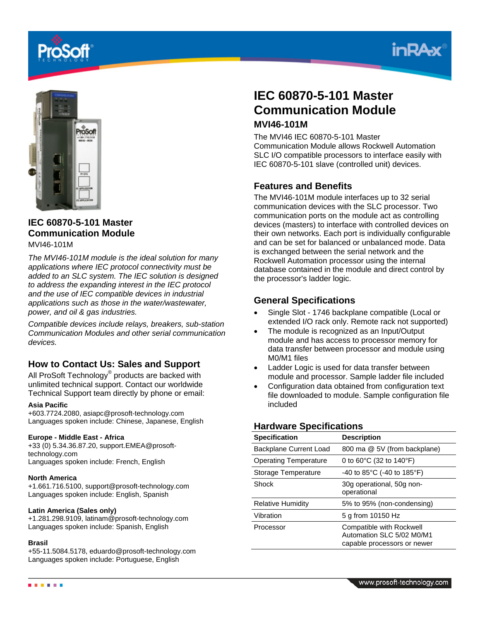





# **IEC 60870-5-101 Master Communication Module**

### MVI46-101M

*The MVI46-101M module is the ideal solution for many applications where IEC protocol connectivity must be added to an SLC system. The IEC solution is designed to address the expanding interest in the IEC protocol and the use of IEC compatible devices in industrial applications such as those in the water/wastewater, power, and oil & gas industries.*

*Compatible devices include relays, breakers, sub-station Communication Modules and other serial communication devices.*

## **How to Contact Us: Sales and Support**

All ProSoft Technology® products are backed with unlimited technical support. Contact our worldwide Technical Support team directly by phone or email:

#### **Asia Pacific**

+603.7724.2080, asiapc@prosoft-technology.com Languages spoken include: Chinese, Japanese, English

#### **Europe - Middle East - Africa**

+33 (0) 5.34.36.87.20, support.EMEA@prosofttechnology.com Languages spoken include: French, English

#### **North America**

+1.661.716.5100, support@prosoft-technology.com Languages spoken include: English, Spanish

#### **Latin America (Sales only)**

+1.281.298.9109, latinam@prosoft-technology.com Languages spoken include: Spanish, English

#### **Brasil**

+55-11.5084.5178, eduardo@prosoft-technology.com Languages spoken include: Portuguese, English

# **IEC 60870-5-101 Master Communication Module MVI46-101M**

The MVI46 IEC 60870-5-101 Master Communication Module allows Rockwell Automation SLC I/O compatible processors to interface easily with IEC 60870-5-101 slave (controlled unit) devices.

### **Features and Benefits**

The MVI46-101M module interfaces up to 32 serial communication devices with the SLC processor. Two communication ports on the module act as controlling devices (masters) to interface with controlled devices on their own networks. Each port is individually configurable and can be set for balanced or unbalanced mode. Data is exchanged between the serial network and the Rockwell Automation processor using the internal database contained in the module and direct control by the processor's ladder logic.

## **General Specifications**

- Single Slot 1746 backplane compatible (Local or extended I/O rack only. Remote rack not supported)
- The module is recognized as an Input/Output module and has access to processor memory for data transfer between processor and module using M0/M1 files
- Ladder Logic is used for data transfer between module and processor. Sample ladder file included
- Configuration data obtained from configuration text file downloaded to module. Sample configuration file included

### **Hardware Specifications**

| <b>Specification</b>         | <b>Description</b>                                                                   |
|------------------------------|--------------------------------------------------------------------------------------|
| Backplane Current Load       | 800 ma @ 5V (from backplane)                                                         |
| <b>Operating Temperature</b> | 0 to 60 $\degree$ C (32 to 140 $\degree$ F)                                          |
| Storage Temperature          | -40 to 85 $^{\circ}$ C (-40 to 185 $^{\circ}$ F)                                     |
| Shock                        | 30g operational, 50g non-<br>operational                                             |
| <b>Relative Humidity</b>     | 5% to 95% (non-condensing)                                                           |
| Vibration                    | 5 g from 10150 Hz                                                                    |
| Processor                    | Compatible with Rockwell<br>Automation SLC 5/02 M0/M1<br>capable processors or newer |